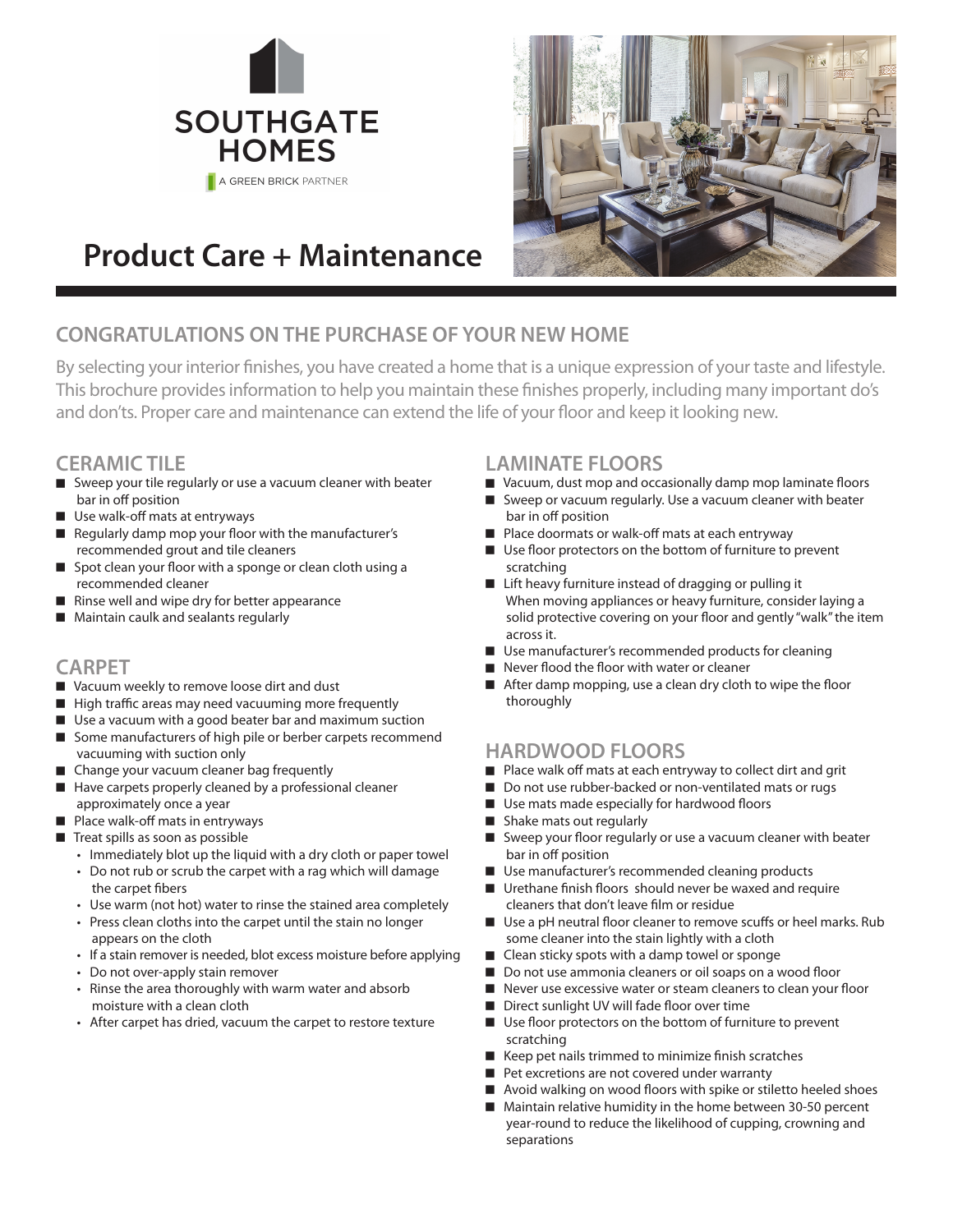



# **Product Care + Maintenance**

# **CONGRATULATIONS ON THE PURCHASE OF YOUR NEW HOME**

By selecting your interior finishes, you have created a home that is a unique expression of your taste and lifestyle. This brochure provides information to help you maintain these finishes properly, including many important do's and don'ts. Proper care and maintenance can extend the life of your floor and keep it looking new.

### **CERAMIC TILE**

- $\blacksquare$  Sweep your tile regularly or use a vacuum cleaner with beater bar in off position
- Use walk-off mats at entryways
- <sup>n</sup> Regularly damp mop your floor with the manufacturer's recommended grout and tile cleaners
- $\Box$  Spot clean your floor with a sponge or clean cloth using a recommended cleaner
- Rinse well and wipe dry for better appearance
- Maintain caulk and sealants regularly

## **CARPET**

- Vacuum weekly to remove loose dirt and dust
- $\blacksquare$  High traffic areas may need vacuuming more frequently
- $\blacksquare$  Use a vacuum with a good beater bar and maximum suction
- Some manufacturers of high pile or berber carpets recommend vacuuming with suction only
- Change your vacuum cleaner bag frequently
- $\blacksquare$  Have carpets properly cleaned by a professional cleaner approximately once a year
- Place walk-off mats in entryways
- $\blacksquare$  Treat spills as soon as possible
	- Immediately blot up the liquid with a dry cloth or paper towel
	- Do not rub or scrub the carpet with a rag which will damage the carpet fibers
	- Use warm (not hot) water to rinse the stained area completely
	- Press clean cloths into the carpet until the stain no longer appears on the cloth
	- If a stain remover is needed, blot excess moisture before applying
	- Do not over-apply stain remover
	- Rinse the area thoroughly with warm water and absorb moisture with a clean cloth
	- After carpet has dried, vacuum the carpet to restore texture

# **LAMINATE FLOORS**

- Vacuum, dust mop and occasionally damp mop laminate floors
- Sweep or vacuum regularly. Use a vacuum cleaner with beater bar in off position
- Place doormats or walk-off mats at each entryway
- $\blacksquare$  Use floor protectors on the bottom of furniture to prevent scratching
- Lift heavy furniture instead of dragging or pulling it When moving appliances or heavy furniture, consider laying a solid protective covering on your floor and gently "walk" the item across it.
- Use manufacturer's recommended products for cleaning
- <sup>n</sup> Never flood the floor with water or cleaner
- After damp mopping, use a clean dry cloth to wipe the floor thoroughly

# **HARDWOOD FLOORS**

- Place walk off mats at each entryway to collect dirt and grit
- Do not use rubber-backed or non-ventilated mats or rugs
- Use mats made especially for hardwood floors
- Shake mats out regularly
- Sweep your floor regularly or use a vacuum cleaner with beater bar in off position
- Use manufacturer's recommended cleaning products
- Urethane finish floors should never be waxed and require cleaners that don't leave film or residue
- Use a pH neutral floor cleaner to remove scuffs or heel marks. Rub some cleaner into the stain lightly with a cloth
- Clean sticky spots with a damp towel or sponge
- Do not use ammonia cleaners or oil soaps on a wood floor
- Never use excessive water or steam cleaners to clean your floor
- Direct sunlight UV will fade floor over time
- Use floor protectors on the bottom of furniture to prevent scratching
- $\blacksquare$  Keep pet nails trimmed to minimize finish scratches
- Pet excretions are not covered under warranty
- Avoid walking on wood floors with spike or stiletto heeled shoes
- $\blacksquare$  Maintain relative humidity in the home between 30-50 percent year-round to reduce the likelihood of cupping, crowning and separations